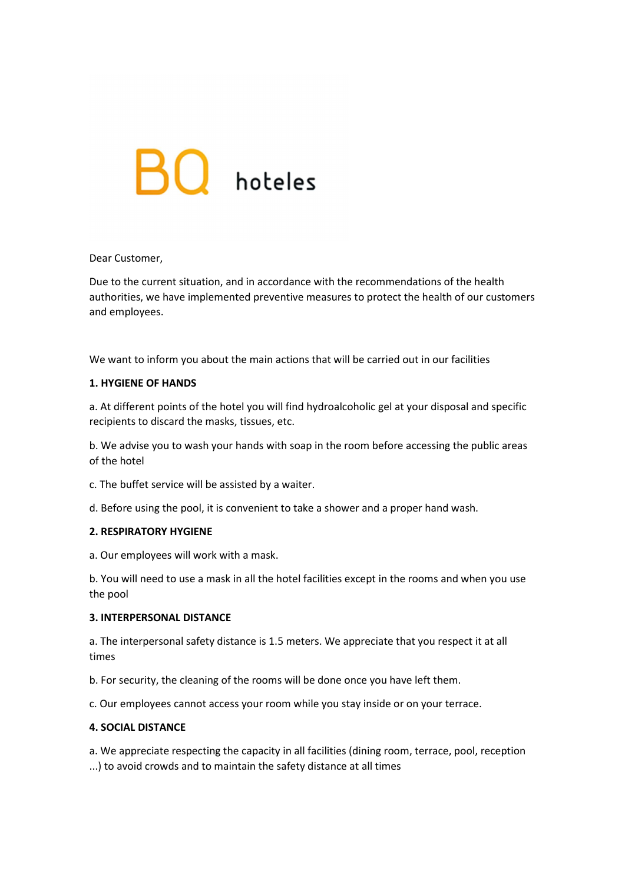# $BO$  hoteles

## Dear Customer,

Due to the current situation, and in accordance with the recommendations of the health authorities, we have implemented preventive measures to protect the health of our customers and employees.

We want to inform you about the main actions that will be carried out in our facilities

### 1. HYGIENE OF HANDS

a. At different points of the hotel you will find hydroalcoholic gel at your disposal and specific recipients to discard the masks, tissues, etc.

b. We advise you to wash your hands with soap in the room before accessing the public areas of the hotel

c. The buffet service will be assisted by a waiter.

d. Before using the pool, it is convenient to take a shower and a proper hand wash.

## 2. RESPIRATORY HYGIENE

a. Our employees will work with a mask.

b. You will need to use a mask in all the hotel facilities except in the rooms and when you use the pool

# 3. INTERPERSONAL DISTANCE

a. The interpersonal safety distance is 1.5 meters. We appreciate that you respect it at all times

b. For security, the cleaning of the rooms will be done once you have left them.

c. Our employees cannot access your room while you stay inside or on your terrace.

### 4. SOCIAL DISTANCE

a. We appreciate respecting the capacity in all facilities (dining room, terrace, pool, reception ...) to avoid crowds and to maintain the safety distance at all times